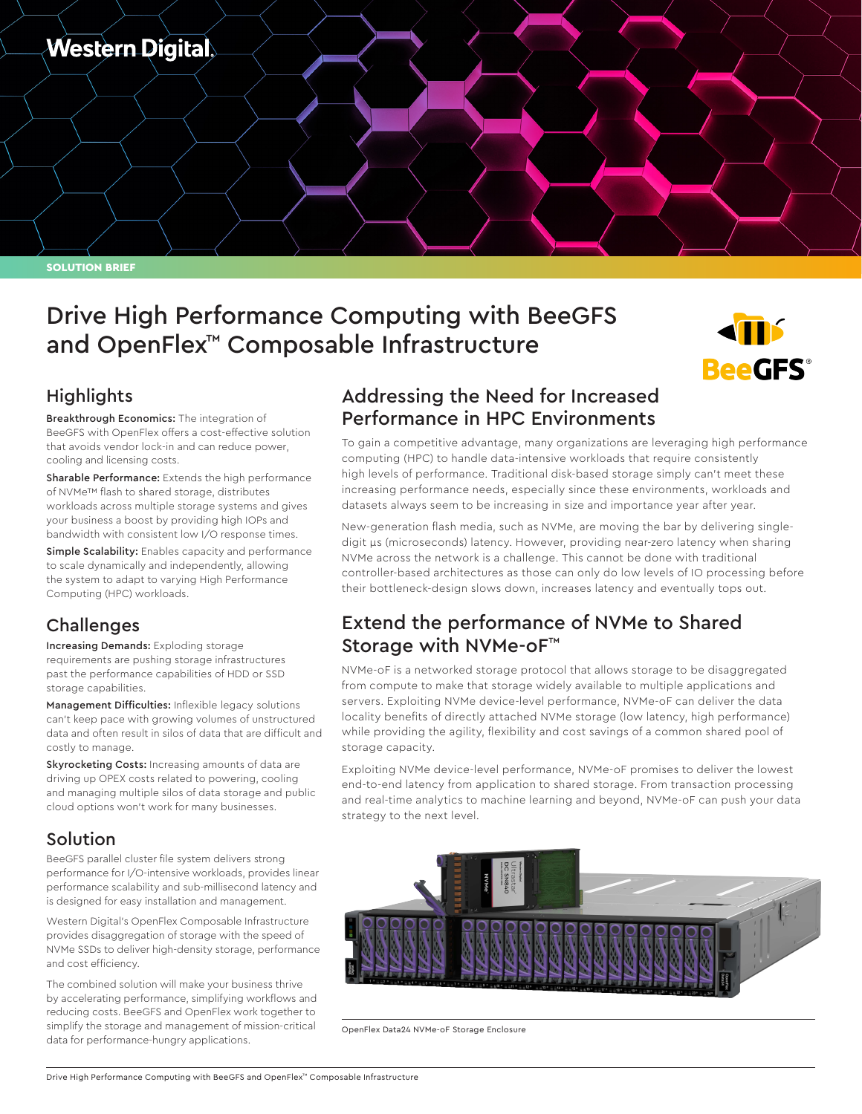

SOLUTION BRIEF

# Drive High Performance Computing with BeeGFS and OpenFlex™ Composable Infrastructure



### **Highlights**

Breakthrough Economics: The integration of BeeGFS with OpenFlex offers a cost-effective solution that avoids vendor lock-in and can reduce power, cooling and licensing costs.

Sharable Performance: Extends the high performance of NVMe™ flash to shared storage, distributes workloads across multiple storage systems and gives your business a boost by providing high IOPs and bandwidth with consistent low I/O response times.

Simple Scalability: Enables capacity and performance to scale dynamically and independently, allowing the system to adapt to varying High Performance Computing (HPC) workloads.

# Challenges

Increasing Demands: Exploding storage requirements are pushing storage infrastructures past the performance capabilities of HDD or SSD storage capabilities.

Management Difficulties: Inflexible legacy solutions can't keep pace with growing volumes of unstructured data and often result in silos of data that are difficult and costly to manage.

Skyrocketing Costs: Increasing amounts of data are driving up OPEX costs related to powering, cooling and managing multiple silos of data storage and public cloud options won't work for many businesses.

#### Solution

BeeGFS parallel cluster file system delivers strong performance for I/O-intensive workloads, provides linear performance scalability and sub-millisecond latency and is designed for easy installation and management.

Western Digital's OpenFlex Composable Infrastructure provides disaggregation of storage with the speed of NVMe SSDs to deliver high-density storage, performance and cost efficiency.

The combined solution will make your business thrive by accelerating performance, simplifying workflows and reducing costs. BeeGFS and OpenFlex work together to simplify the storage and management of mission-critical data for performance-hungry applications.

### Addressing the Need for Increased Performance in HPC Environments

To gain a competitive advantage, many organizations are leveraging high performance computing (HPC) to handle data-intensive workloads that require consistently high levels of performance. Traditional disk-based storage simply can't meet these increasing performance needs, especially since these environments, workloads and datasets always seem to be increasing in size and importance year after year.

New-generation flash media, such as NVMe, are moving the bar by delivering singledigit μs (microseconds) latency. However, providing near-zero latency when sharing NVMe across the network is a challenge. This cannot be done with traditional controller-based architectures as those can only do low levels of IO processing before their bottleneck-design slows down, increases latency and eventually tops out.

#### Extend the performance of NVMe to Shared Storage with NVMe-oF™

NVMe-oF is a networked storage protocol that allows storage to be disaggregated from compute to make that storage widely available to multiple applications and servers. Exploiting NVMe device-level performance, NVMe-oF can deliver the data locality benefits of directly attached NVMe storage (low latency, high performance) while providing the agility, flexibility and cost savings of a common shared pool of storage capacity.

Exploiting NVMe device-level performance, NVMe-oF promises to deliver the lowest end-to-end latency from application to shared storage. From transaction processing and real-time analytics to machine learning and beyond, NVMe-oF can push your data strategy to the next level.



OpenFlex Data24 NVMe-oF Storage Enclosure